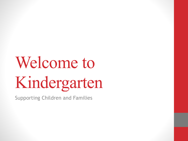# Welcome to Kindergarten

Supporting Children and Families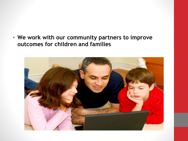• **We work with our community partners to improve outcomes for children and families**

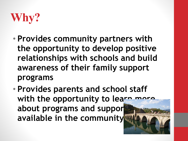

- **Provides community partners with the opportunity to develop positive relationships with schools and build awareness of their family support programs**
- **Provides parents and school staff**  with the opportunity to learn more about programs and suppor **available in the community**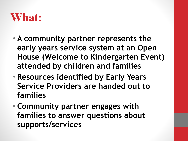#### **What:**

- **A community partner represents the early years service system at an Open House (Welcome to Kindergarten Event) attended by children and families**
- **Resources identified by Early Years Service Providers are handed out to families**
- **Community partner engages with families to answer questions about supports/services**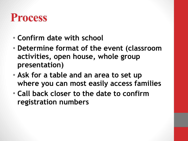## **Process**

- **Confirm date with school**
- **Determine format of the event (classroom activities, open house, whole group presentation)**
- **Ask for a table and an area to set up where you can most easily access families**
- **Call back closer to the date to confirm registration numbers**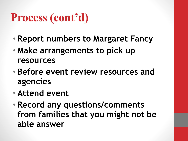## **Process (cont'd)**

- **Report numbers to Margaret Fancy**
- **Make arrangements to pick up resources**
- **Before event review resources and agencies**
- **Attend event**
- **Record any questions/comments from families that you might not be able answer**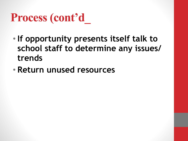## **Process (cont'd\_**

- **If opportunity presents itself talk to school staff to determine any issues/ trends**
- **Return unused resources**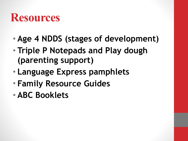### **Resources**

- **Age 4 NDDS (stages of development)**
- **Triple P Notepads and Play dough (parenting support)**
- **Language Express pamphlets**
- **Family Resource Guides**
- **ABC Booklets**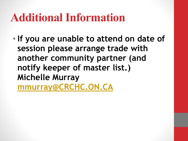## **Additional Information**

• **If you are unable to attend on date of session please arrange trade with another community partner (and notify keeper of master list.) Michelle Murray [mmurray@CRCHC.ON.CA](mailto:mmurray@CRCHC.ON.CA)**